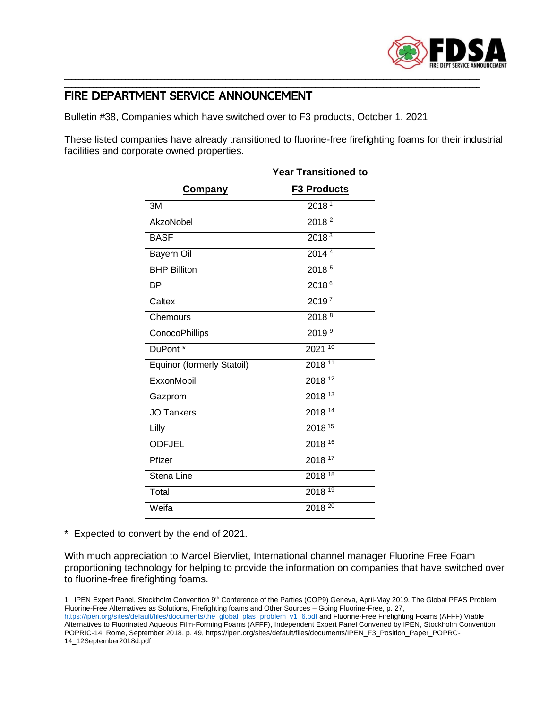

## FIRE DEPARTMENT SERVICE ANNOUNCEMENT

Bulletin #38, Companies which have switched over to F3 products, October 1, 2021

These listed companies have already transitioned to fluorine-free firefighting foams for their industrial facilities and corporate owned properties.

\_\_\_\_\_\_\_\_\_\_\_\_\_\_\_\_\_\_\_\_\_\_\_\_\_\_\_\_\_\_\_\_\_\_\_\_\_\_\_\_\_\_\_\_\_\_\_\_\_\_\_\_\_\_\_\_\_\_\_\_\_\_\_\_\_\_\_\_\_\_\_\_\_\_\_\_\_\_\_\_\_\_\_\_\_\_\_\_\_\_\_\_\_\_\_\_\_\_\_\_\_\_\_\_\_\_\_\_\_\_\_\_\_\_\_\_ \_\_\_\_\_\_\_\_\_\_\_\_\_\_\_\_\_\_\_\_\_\_\_\_\_\_\_\_\_\_\_\_\_\_\_\_\_\_\_\_\_\_\_\_\_\_\_\_\_\_\_\_\_\_\_\_\_\_\_\_\_\_\_\_\_\_\_\_\_\_\_\_\_\_\_\_\_\_\_\_\_\_\_\_\_\_\_\_\_\_\_\_\_\_\_\_\_\_\_\_\_\_\_\_\_\_\_\_\_\_\_\_\_\_\_\_

|                            | <b>Year Transitioned to</b> |
|----------------------------|-----------------------------|
| <b>Company</b>             | <b>F3 Products</b>          |
| 3M                         | 2018 <sup>1</sup>           |
| AkzoNobel                  | 2018 <sup>2</sup>           |
| <b>BASF</b>                | 2018 <sup>3</sup>           |
| Bayern Oil                 | 2014 <sup>4</sup>           |
| <b>BHP Billiton</b>        | 2018 <sup>5</sup>           |
| ΒP                         | 2018 <sup>6</sup>           |
| Caltex                     | 2019 <sup>7</sup>           |
| Chemours                   | 2018 <sup>8</sup>           |
| ConocoPhillips             | 2019 <sup>9</sup>           |
| DuPont*                    | $2021^{10}$                 |
| Equinor (formerly Statoil) | $2018^{11}$                 |
| ExxonMobil                 | 2018 <sup>12</sup>          |
| Gazprom                    | 2018 <sup>13</sup>          |
| <b>JO Tankers</b>          | 2018 14                     |
| Lilly                      | 2018 15                     |
| <b>ODFJEL</b>              | $2018^{16}$                 |
| Pfizer                     | 2018 17                     |
| Stena Line                 | 2018 18                     |
| Total                      | $2018^{19}$                 |
| Weifa                      | 2018 20                     |

\* Expected to convert by the end of 2021.

With much appreciation to Marcel Biervliet, International channel manager Fluorine Free Foam proportioning technology for helping to provide the information on companies that have switched over to fluorine-free firefighting foams.

1 IPEN Expert Panel, Stockholm Convention 9<sup>th</sup> Conference of the Parties (COP9) Geneva, April-May 2019, The Global PFAS Problem: Fluorine-Free Alternatives as Solutions, Firefighting foams and Other Sources – Going Fluorine-Free, p. 27, [https://ipen.org/sites/default/files/documents/the\\_global\\_pfas\\_problem\\_v1\\_6.pdf](https://ipen.org/sites/default/files/documents/the_global_pfas_problem_v1_6.pdf) and Fluorine-Free Firefighting Foams (AFFF) Viable Alternatives to Fluorinated Aqueous Film-Forming Foams (AFFF), Independent Expert Panel Convened by IPEN, Stockholm Convention POPRIC-14, Rome, September 2018, p. 49, https://ipen.org/sites/default/files/documents/IPEN\_F3\_Position\_Paper\_POPRC-14\_12September2018d.pdf